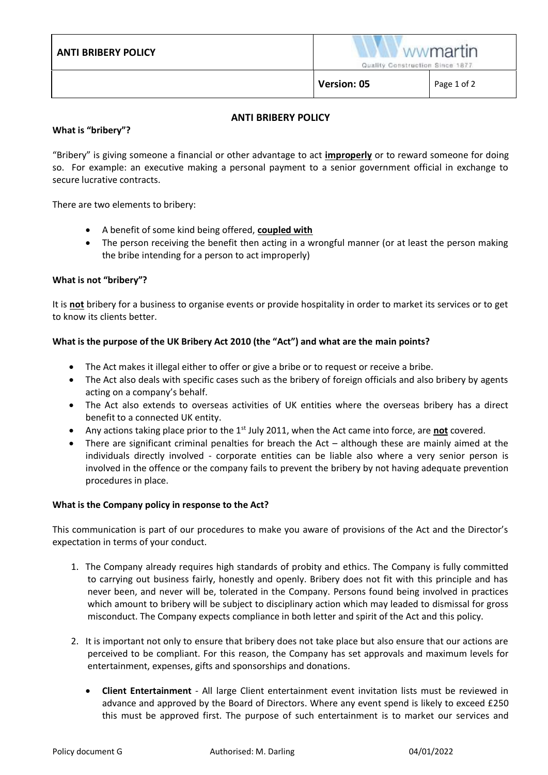|                            | <b>Version: 05</b>                                 | Page 1 of 2 |
|----------------------------|----------------------------------------------------|-------------|
| <b>ANTI BRIBERY POLICY</b> | <b>Wwmartin</b><br>Quality Construction Since 1877 |             |

# **ANTI BRIBERY POLICY**

### **What is "bribery"?**

"Bribery" is giving someone a financial or other advantage to act **improperly** or to reward someone for doing so. For example: an executive making a personal payment to a senior government official in exchange to secure lucrative contracts.

There are two elements to bribery:

- A benefit of some kind being offered, **coupled with**
- The person receiving the benefit then acting in a wrongful manner (or at least the person making the bribe intending for a person to act improperly)

## **What is not "bribery"?**

It is **not** bribery for a business to organise events or provide hospitality in order to market its services or to get to know its clients better.

## **What is the purpose of the UK Bribery Act 2010 (the "Act") and what are the main points?**

- The Act makes it illegal either to offer or give a bribe or to request or receive a bribe.
- The Act also deals with specific cases such as the bribery of foreign officials and also bribery by agents acting on a company's behalf.
- The Act also extends to overseas activities of UK entities where the overseas bribery has a direct benefit to a connected UK entity.
- Any actions taking place prior to the 1<sup>st</sup> July 2011, when the Act came into force, are **not** covered.
- There are significant criminal penalties for breach the  $Act although$  these are mainly aimed at the individuals directly involved - corporate entities can be liable also where a very senior person is involved in the offence or the company fails to prevent the bribery by not having adequate prevention procedures in place.

#### **What is the Company policy in response to the Act?**

This communication is part of our procedures to make you aware of provisions of the Act and the Director's expectation in terms of your conduct.

- 1. The Company already requires high standards of probity and ethics. The Company is fully committed to carrying out business fairly, honestly and openly. Bribery does not fit with this principle and has never been, and never will be, tolerated in the Company. Persons found being involved in practices which amount to bribery will be subject to disciplinary action which may leaded to dismissal for gross misconduct. The Company expects compliance in both letter and spirit of the Act and this policy.
- 2. It is important not only to ensure that bribery does not take place but also ensure that our actions are perceived to be compliant. For this reason, the Company has set approvals and maximum levels for entertainment, expenses, gifts and sponsorships and donations.
	- **Client Entertainment** All large Client entertainment event invitation lists must be reviewed in advance and approved by the Board of Directors. Where any event spend is likely to exceed £250 this must be approved first. The purpose of such entertainment is to market our services and